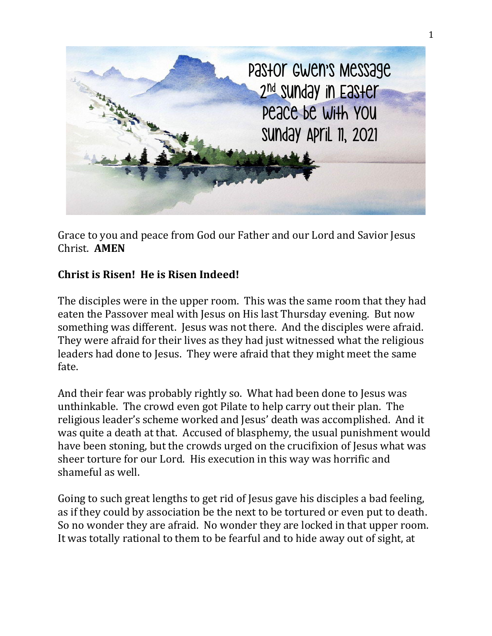

Grace to you and peace from God our Father and our Lord and Savior Jesus Christ. **AMEN**

## **Christ is Risen! He is Risen Indeed!**

The disciples were in the upper room. This was the same room that they had eaten the Passover meal with Jesus on His last Thursday evening. But now something was different. Jesus was not there. And the disciples were afraid. They were afraid for their lives as they had just witnessed what the religious leaders had done to Jesus. They were afraid that they might meet the same fate.

And their fear was probably rightly so. What had been done to Jesus was unthinkable. The crowd even got Pilate to help carry out their plan. The religious leader's scheme worked and Jesus' death was accomplished. And it was quite a death at that. Accused of blasphemy, the usual punishment would have been stoning, but the crowds urged on the crucifixion of Jesus what was sheer torture for our Lord. His execution in this way was horrific and shameful as well.

Going to such great lengths to get rid of Jesus gave his disciples a bad feeling, as if they could by association be the next to be tortured or even put to death. So no wonder they are afraid. No wonder they are locked in that upper room. It was totally rational to them to be fearful and to hide away out of sight, at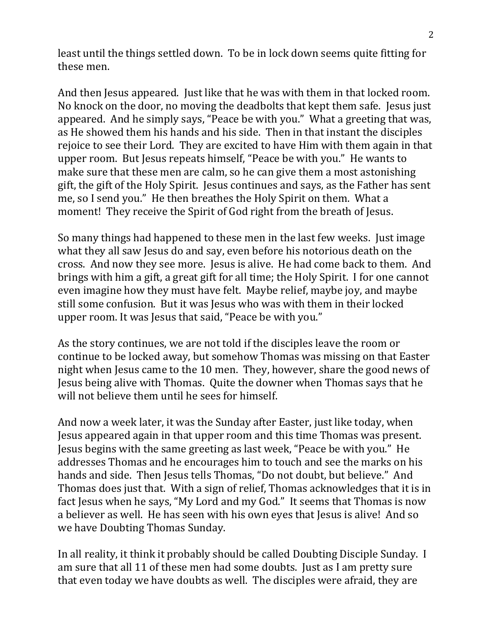least until the things settled down. To be in lock down seems quite fitting for these men.

And then Jesus appeared. Just like that he was with them in that locked room. No knock on the door, no moving the deadbolts that kept them safe. Jesus just appeared. And he simply says, "Peace be with you." What a greeting that was, as He showed them his hands and his side. Then in that instant the disciples rejoice to see their Lord. They are excited to have Him with them again in that upper room. But Jesus repeats himself, "Peace be with you." He wants to make sure that these men are calm, so he can give them a most astonishing gift, the gift of the Holy Spirit. Jesus continues and says, as the Father has sent me, so I send you." He then breathes the Holy Spirit on them. What a moment! They receive the Spirit of God right from the breath of Jesus.

So many things had happened to these men in the last few weeks. Just image what they all saw Jesus do and say, even before his notorious death on the cross. And now they see more. Jesus is alive. He had come back to them. And brings with him a gift, a great gift for all time; the Holy Spirit. I for one cannot even imagine how they must have felt. Maybe relief, maybe joy, and maybe still some confusion. But it was Jesus who was with them in their locked upper room. It was Jesus that said, "Peace be with you."

As the story continues, we are not told if the disciples leave the room or continue to be locked away, but somehow Thomas was missing on that Easter night when Jesus came to the 10 men. They, however, share the good news of Jesus being alive with Thomas. Quite the downer when Thomas says that he will not believe them until he sees for himself.

And now a week later, it was the Sunday after Easter, just like today, when Jesus appeared again in that upper room and this time Thomas was present. Jesus begins with the same greeting as last week, "Peace be with you." He addresses Thomas and he encourages him to touch and see the marks on his hands and side. Then Jesus tells Thomas, "Do not doubt, but believe." And Thomas does just that. With a sign of relief, Thomas acknowledges that it is in fact Jesus when he says, "My Lord and my God." It seems that Thomas is now a believer as well. He has seen with his own eyes that Jesus is alive! And so we have Doubting Thomas Sunday.

In all reality, it think it probably should be called Doubting Disciple Sunday. I am sure that all 11 of these men had some doubts. Just as I am pretty sure that even today we have doubts as well. The disciples were afraid, they are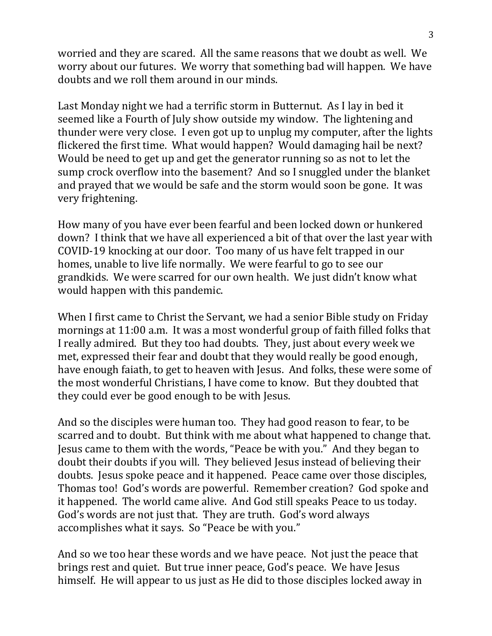worried and they are scared. All the same reasons that we doubt as well. We worry about our futures. We worry that something bad will happen. We have doubts and we roll them around in our minds.

Last Monday night we had a terrific storm in Butternut. As I lay in bed it seemed like a Fourth of July show outside my window. The lightening and thunder were very close. I even got up to unplug my computer, after the lights flickered the first time. What would happen? Would damaging hail be next? Would be need to get up and get the generator running so as not to let the sump crock overflow into the basement? And so I snuggled under the blanket and prayed that we would be safe and the storm would soon be gone. It was very frightening.

How many of you have ever been fearful and been locked down or hunkered down? I think that we have all experienced a bit of that over the last year with COVID-19 knocking at our door. Too many of us have felt trapped in our homes, unable to live life normally. We were fearful to go to see our grandkids. We were scarred for our own health. We just didn't know what would happen with this pandemic.

When I first came to Christ the Servant, we had a senior Bible study on Friday mornings at 11:00 a.m. It was a most wonderful group of faith filled folks that I really admired. But they too had doubts. They, just about every week we met, expressed their fear and doubt that they would really be good enough, have enough faiath, to get to heaven with Jesus. And folks, these were some of the most wonderful Christians, I have come to know. But they doubted that they could ever be good enough to be with Jesus.

And so the disciples were human too. They had good reason to fear, to be scarred and to doubt. But think with me about what happened to change that. Jesus came to them with the words, "Peace be with you." And they began to doubt their doubts if you will. They believed Jesus instead of believing their doubts. Jesus spoke peace and it happened. Peace came over those disciples, Thomas too! God's words are powerful. Remember creation? God spoke and it happened. The world came alive. And God still speaks Peace to us today. God's words are not just that. They are truth. God's word always accomplishes what it says. So "Peace be with you."

And so we too hear these words and we have peace. Not just the peace that brings rest and quiet. But true inner peace, God's peace. We have Jesus himself. He will appear to us just as He did to those disciples locked away in